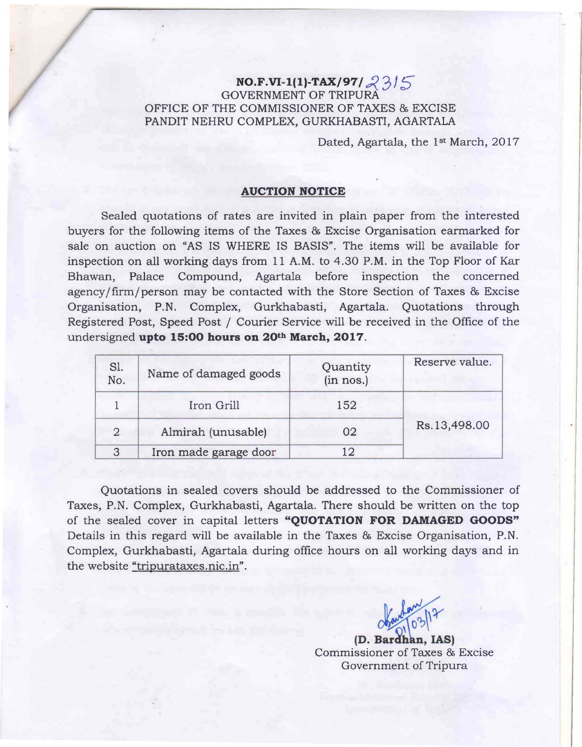## **NO.F.VI-1(1)-TAX/97/ 23/5** GOVERNMENT OF TRIPURA OFFICE OF THE COMMISSIONER OF TAXES & EXCISE PANDIT NEHRU COMPLEX, GURKHABASTI, AGARTALA

Dated, Agartala, the 1<sup>st</sup> March, 2017

## **AUCTION NOTICE**

Sealed quotations of rates are invited in plain paper from the interested buyers for the following items of the Taxes & Excise Organisation earmarked for sale on auction on "AS IS WHERE IS BASIS". The items will be available for inspection on all working days from 11 A.M. to 4.30 P.M. in the Top Floor of Kar Bhawan, Palace Compound, Agartala before inspection the concerned agency/firm/person may be contacted with the Store Section of Taxes & Excise Organisation, P.N. Complex, Gurkhabasti, Agartala. Quotations through Registered Post, Speed Post / Courier Service will be received in the Office of the undersigned **upto 15:00 hours on 20th March, 2017.** 

| S1.<br>No.     | Name of damaged goods | Quantity<br>(in nos.) | Reserve value. |
|----------------|-----------------------|-----------------------|----------------|
|                | Iron Grill            | 152                   | Rs.13,498.00   |
| $\overline{2}$ | Almirah (unusable)    | 02                    |                |
| 3              | Iron made garage door | 12                    |                |

Quotations in sealed covers should be addressed to the Commissioner of Taxes, P.N. Complex, Gurkhabasti, Agartala. There should be written on the top of the sealed cover in capital letters **"QUOTATION FOR DAMAGED GOODS"**  Details in this regard will be available in the Taxes & Excise Organisation, P.N. Complex, Gurkhabasti, Agartala during office hours on all working days and in the website "tripurataxes.nic.in".

 $O(\sqrt{2^{10}})^{10^{31}}$ 

**(D.** Bar <sup>h</sup>**n, lAS)**  Commissioner of Taxes & Excise Government of Tripura